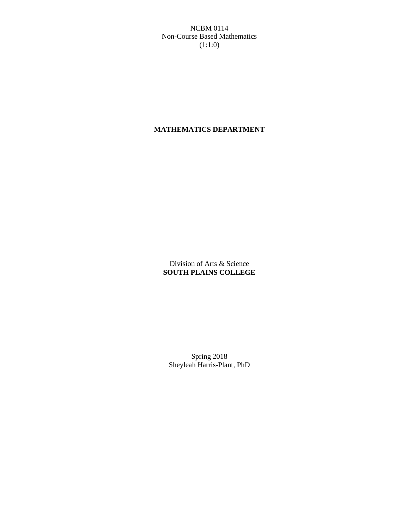NCBM 0114 Non-Course Based Mathematics (1:1:0)

# **MATHEMATICS DEPARTMENT**

Division of Arts & Science **SOUTH PLAINS COLLEGE**

Spring 2018 Sheyleah Harris-Plant, PhD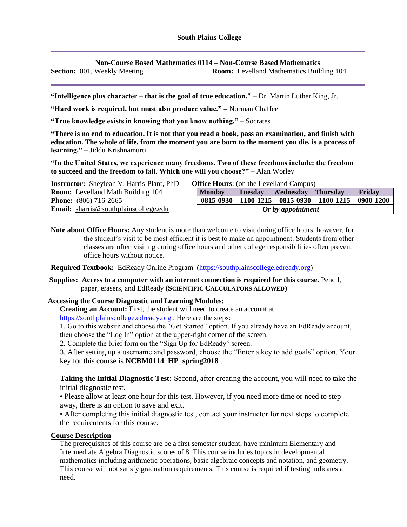**Non-Course Based Mathematics 0114 – Non-Course Based Mathematics**

**Section:** 001, Weekly Meeting **Room:** Levelland Mathematics Building 104

**"Intelligence plus character – that is the goal of true education."** – Dr. Martin Luther King, Jr.

**"Hard work is required, but must also produce value." –** Norman Chaffee

**"True knowledge exists in knowing that you know nothing."** – Socrates

**"There is no end to education. It is not that you read a book, pass an examination, and finish with education. The whole of life, from the moment you are born to the moment you die, is a process of learning."** – Jiddu Krishnamurti

**"In the United States, we experience many freedoms. Two of these freedoms include: the freedom to succeed and the freedom to fail. Which one will you choose?"** – Alan Worley

| <b>Instructor:</b> Sheyleah V. Harris-Plant, PhD | <b>Office Hours:</b> (on the Levelland Campus) |                |                           |                                         |        |
|--------------------------------------------------|------------------------------------------------|----------------|---------------------------|-----------------------------------------|--------|
| <b>Room:</b> Levelland Math Building 104         | <b>Monday</b>                                  | <b>Tuesday</b> | <b>Nednesday</b> Thursday |                                         | Friday |
| <b>Phone:</b> $(806)$ 716-2665                   | 0815-0930                                      |                |                           | 1100-1215 0815-0930 1100-1215 0900-1200 |        |
| <b>Email:</b> sharris@southplainscollege.edu     | Or by appointment                              |                |                           |                                         |        |

**Note about Office Hours:** Any student is more than welcome to visit during office hours, however, for the student's visit to be most efficient it is best to make an appointment. Students from other classes are often visiting during office hours and other college responsibilities often prevent office hours without notice.

**Required Textbook:** EdReady Online Program (https://southplainscollege.edready.org)

**Supplies: Access to a computer with an internet connection is required for this course.** Pencil, paper, erasers, and EdReady **(SCIENTIFIC CALCULATORS ALLOWED)**

### **Accessing the Course Diagnostic and Learning Modules:**

**Creating an Account:** First, the student will need to create an account at

https://southplainscollege.edready.org . Here are the steps:

1. Go to this website and choose the "Get Started" option. If you already have an EdReady account,

then choose the "Log In" option at the upper-right corner of the screen.

2. Complete the brief form on the "Sign Up for EdReady" screen.

3. After setting up a username and password, choose the "Enter a key to add goals" option. Your key for this course is **NCBM0114\_HP\_spring2018** .

**Taking the Initial Diagnostic Test:** Second, after creating the account, you will need to take the initial diagnostic test.

• Please allow at least one hour for this test. However, if you need more time or need to step away, there is an option to save and exit.

• After completing this initial diagnostic test, contact your instructor for next steps to complete the requirements for this course.

### **Course Description**

The prerequisites of this course are be a first semester student, have minimum Elementary and Intermediate Algebra Diagnostic scores of 8. This course includes topics in developmental mathematics including arithmetic operations, basic algebraic concepts and notation, and geometry. This course will not satisfy graduation requirements. This course is required if testing indicates a need.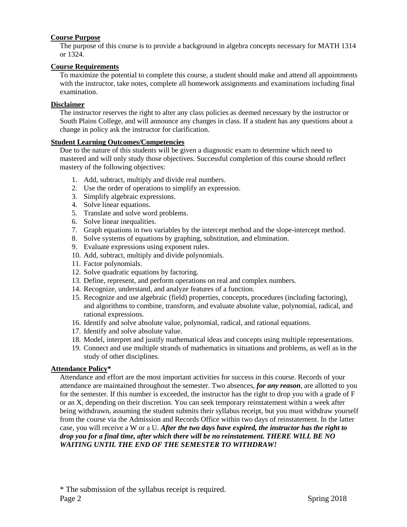### **Course Purpose**

The purpose of this course is to provide a background in algebra concepts necessary for MATH 1314 or 1324.

#### **Course Requirements**

To maximize the potential to complete this course, a student should make and attend all appointments with the instructor, take notes, complete all homework assignments and examinations including final examination.

#### **Disclaimer**

The instructor reserves the right to alter any class policies as deemed necessary by the instructor or South Plains College, and will announce any changes in class. If a student has any questions about a change in policy ask the instructor for clarification.

#### **Student Learning Outcomes/Competencies**

Due to the nature of this students will be given a diagnostic exam to determine which need to mastered and will only study those objectives. Successful completion of this course should reflect mastery of the following objectives:

- 1. Add, subtract, multiply and divide real numbers.
- 2. Use the order of operations to simplify an expression.
- 3. Simplify algebraic expressions.
- 4. Solve linear equations.
- 5. Translate and solve word problems.
- 6. Solve linear inequalities.
- 7. Graph equations in two variables by the intercept method and the slope-intercept method.
- 8. Solve systems of equations by graphing, substitution, and elimination.
- 9. Evaluate expressions using exponent rules.
- 10. Add, subtract, multiply and divide polynomials.
- 11. Factor polynomials.
- 12. Solve quadratic equations by factoring.
- 13. Define, represent, and perform operations on real and complex numbers.
- 14. Recognize, understand, and analyze features of a function.
- 15. Recognize and use algebraic (field) properties, concepts, procedures (including factoring), and algorithms to combine, transform, and evaluate absolute value, polynomial, radical, and rational expressions.
- 16. Identify and solve absolute value, polynomial, radical, and rational equations.
- 17. Identify and solve absolute value.
- 18. Model, interpret and justify mathematical ideas and concepts using multiple representations.
- 19. Connect and use multiple strands of mathematics in situations and problems, as well as in the study of other disciplines.

#### **Attendance Policy\***

Attendance and effort are the most important activities for success in this course. Records of your attendance are maintained throughout the semester. Two absences, *for any reason*, are allotted to you for the semester. If this number is exceeded, the instructor has the right to drop you with a grade of F or an X, depending on their discretion. You can seek temporary reinstatement within a week after being withdrawn, assuming the student submits their syllabus receipt, but you must withdraw yourself from the course via the Admission and Records Office within two days of reinstatement. In the latter case, you will receive a W or a U. *After the two days have expired, the instructor has the right to drop you for a final time, after which there will be no reinstatement. THERE WILL BE NO WAITING UNTIL THE END OF THE SEMESTER TO WITHDRAW!*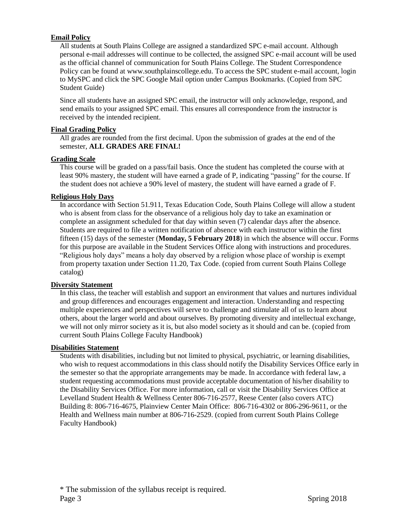### **Email Policy**

All students at South Plains College are assigned a standardized SPC e-mail account. Although personal e-mail addresses will continue to be collected, the assigned SPC e-mail account will be used as the official channel of communication for South Plains College. The Student Correspondence Policy can be found at www.southplainscollege.edu. To access the SPC student e-mail account, login to MySPC and click the SPC Google Mail option under Campus Bookmarks. (Copied from SPC Student Guide)

Since all students have an assigned SPC email, the instructor will only acknowledge, respond, and send emails to your assigned SPC email. This ensures all correspondence from the instructor is received by the intended recipient.

### **Final Grading Policy**

All grades are rounded from the first decimal. Upon the submission of grades at the end of the semester, **ALL GRADES ARE FINAL!**

### **Grading Scale**

This course will be graded on a pass/fail basis. Once the student has completed the course with at least 90% mastery, the student will have earned a grade of P, indicating "passing" for the course. If the student does not achieve a 90% level of mastery, the student will have earned a grade of F.

### **Religious Holy Days**

In accordance with Section 51.911, Texas Education Code, South Plains College will allow a student who is absent from class for the observance of a religious holy day to take an examination or complete an assignment scheduled for that day within seven (7) calendar days after the absence. Students are required to file a written notification of absence with each instructor within the first fifteen (15) days of the semester (**Monday, 5 February 2018**) in which the absence will occur. Forms for this purpose are available in the Student Services Office along with instructions and procedures. "Religious holy days" means a holy day observed by a religion whose place of worship is exempt from property taxation under Section 11.20, Tax Code. (copied from current South Plains College catalog)

### **Diversity Statement**

In this class, the teacher will establish and support an environment that values and nurtures individual and group differences and encourages engagement and interaction. Understanding and respecting multiple experiences and perspectives will serve to challenge and stimulate all of us to learn about others, about the larger world and about ourselves. By promoting diversity and intellectual exchange, we will not only mirror society as it is, but also model society as it should and can be. (copied from current South Plains College Faculty Handbook)

### **Disabilities Statement**

Students with disabilities, including but not limited to physical, psychiatric, or learning disabilities, who wish to request accommodations in this class should notify the Disability Services Office early in the semester so that the appropriate arrangements may be made. In accordance with federal law, a student requesting accommodations must provide acceptable documentation of his/her disability to the Disability Services Office. For more information, call or visit the Disability Services Office at Levelland Student Health & Wellness Center 806-716-2577, Reese Center (also covers ATC) Building 8: 806-716-4675, Plainview Center Main Office: 806-716-4302 or 806-296-9611, or the Health and Wellness main number at 806-716-2529. (copied from current South Plains College Faculty Handbook)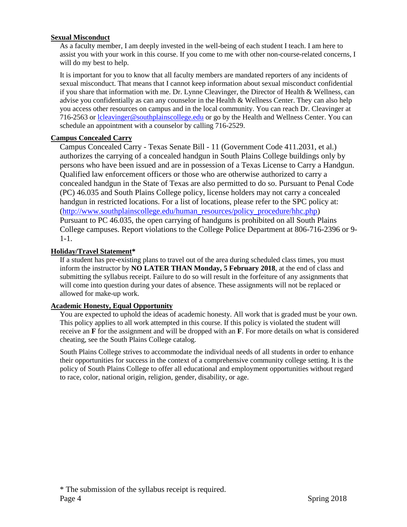### **Sexual Misconduct**

As a faculty member, I am deeply invested in the well-being of each student I teach. I am here to assist you with your work in this course. If you come to me with other non-course-related concerns, I will do my best to help.

It is important for you to know that all faculty members are mandated reporters of any incidents of sexual misconduct. That means that I cannot keep information about sexual misconduct confidential if you share that information with me. Dr. Lynne Cleavinger, the Director of Health & Wellness, can advise you confidentially as can any counselor in the Health & Wellness Center. They can also help you access other resources on campus and in the local community. You can reach Dr. Cleavinger at 716-2563 or [lcleavinger@southplainscollege.edu](mailto:lcleavinger@southplainscollege.edu) or go by the Health and Wellness Center. You can schedule an appointment with a counselor by calling 716-2529.

# **Campus Concealed Carry**

Campus Concealed Carry - Texas Senate Bill - 11 (Government Code 411.2031, et al.) authorizes the carrying of a concealed handgun in South Plains College buildings only by persons who have been issued and are in possession of a Texas License to Carry a Handgun. Qualified law enforcement officers or those who are otherwise authorized to carry a concealed handgun in the State of Texas are also permitted to do so. Pursuant to Penal Code (PC) 46.035 and South Plains College policy, license holders may not carry a concealed handgun in restricted locations. For a list of locations, please refer to the SPC policy at: [\(http://www.southplainscollege.edu/human\\_resources/policy\\_procedure/hhc.php\)](http://www.southplainscollege.edu/human_resources/policy_procedure/hhc.php) Pursuant to PC 46.035, the open carrying of handguns is prohibited on all South Plains College campuses. Report violations to the College Police Department at 806-716-2396 or 9- 1-1.

# **Holiday/Travel Statement\***

If a student has pre-existing plans to travel out of the area during scheduled class times, you must inform the instructor by **NO LATER THAN Monday, 5 February 2018**, at the end of class and submitting the syllabus receipt. Failure to do so will result in the forfeiture of any assignments that will come into question during your dates of absence. These assignments will not be replaced or allowed for make-up work.

# **Academic Honesty, Equal Opportunity**

You are expected to uphold the ideas of academic honesty. All work that is graded must be your own. This policy applies to all work attempted in this course. If this policy is violated the student will receive an **F** for the assignment and will be dropped with an **F**. For more details on what is considered cheating, see the South Plains College catalog.

South Plains College strives to accommodate the individual needs of all students in order to enhance their opportunities for success in the context of a comprehensive community college setting. It is the policy of South Plains College to offer all educational and employment opportunities without regard to race, color, national origin, religion, gender, disability, or age.